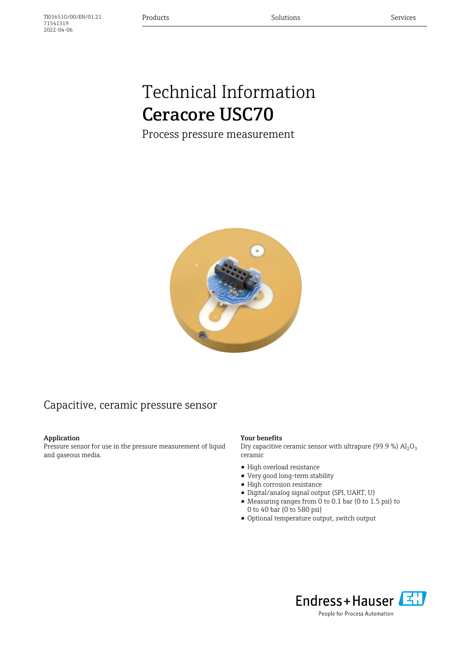# Technical Information Ceracore USC70

Process pressure measurement



### Capacitive, ceramic pressure sensor

#### Application

71541319 2022-04-06

Pressure sensor for use in the pressure measurement of liquid and gaseous media.

#### Your benefits

Dry capacitive ceramic sensor with ultrapure (99.9 %)  $\text{Al}_2\text{O}_3$ ceramic

- High overload resistance
- Very good long-term stability
- High corrosion resistance
- Digital/analog signal output (SPI, UART, U)
- Measuring ranges from 0 to 0.1 bar (0 to 1.5 psi) to 0 to 40 bar (0 to 580 psi)
- Optional temperature output, switch output



People for Process Automation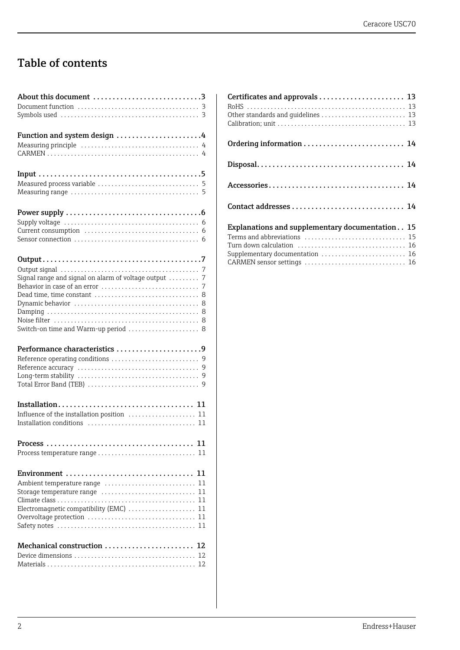## Table of contents

| About this document 3                                 |
|-------------------------------------------------------|
|                                                       |
|                                                       |
|                                                       |
| Function and system design 4                          |
|                                                       |
|                                                       |
|                                                       |
|                                                       |
|                                                       |
|                                                       |
|                                                       |
|                                                       |
|                                                       |
|                                                       |
|                                                       |
|                                                       |
|                                                       |
|                                                       |
| Signal range and signal on alarm of voltage output  7 |
|                                                       |
|                                                       |
|                                                       |
|                                                       |
| Switch-on time and Warm-up period  8                  |
|                                                       |
| Performance characteristics 9                         |
|                                                       |
|                                                       |
|                                                       |
|                                                       |
|                                                       |
|                                                       |
| Influence of the installation position  11            |
|                                                       |
|                                                       |
| 11                                                    |
|                                                       |
|                                                       |
| 11                                                    |
| Ambient temperature range  11                         |
| Storage temperature range<br>11                       |
|                                                       |
| Electromagnetic compatibility (EMC)<br>11             |
| Overvoltage protection<br>11                          |
| 11                                                    |
|                                                       |
| Mechanical construction  12                           |
|                                                       |
|                                                       |
|                                                       |

| Certificates and approvals  13<br>Other standards and guidelines  13 |  |
|----------------------------------------------------------------------|--|
|                                                                      |  |
|                                                                      |  |
|                                                                      |  |
|                                                                      |  |
| Explanations and supplementary documentation 15                      |  |
|                                                                      |  |
|                                                                      |  |
| Supplementary documentation  16                                      |  |
|                                                                      |  |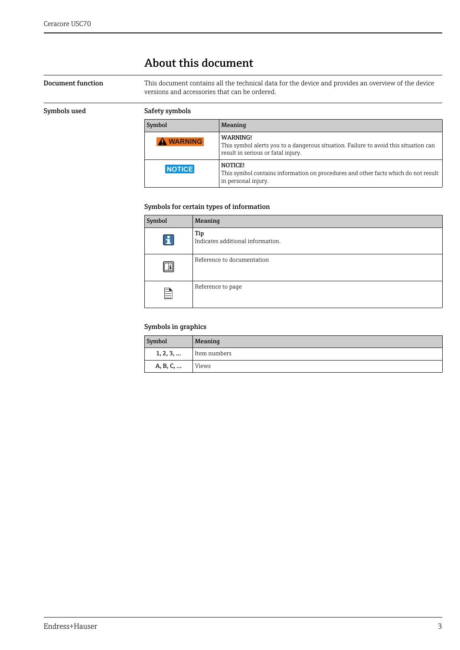### <span id="page-2-0"></span>About this document

### <span id="page-2-1"></span>Document function This document contains all the technical data for the device and provides an overview of the device versions and accessories that can be ordered.

<span id="page-2-2"></span>

| Symbols used | Safety symbols   |                                                                                                                                               |
|--------------|------------------|-----------------------------------------------------------------------------------------------------------------------------------------------|
|              | Symbol           | Meaning                                                                                                                                       |
|              | <b>A WARNING</b> | <b>WARNING!</b><br>This symbol alerts you to a dangerous situation. Failure to avoid this situation can<br>result in serious or fatal injury. |
|              | <b>NOTICE</b>    | NOTICE!<br>This symbol contains information on procedures and other facts which do not result<br>in personal injury.                          |

#### Symbols for certain types of information

| Symbol       | Meaning                                  |
|--------------|------------------------------------------|
| $\mathbf{f}$ | Tip<br>Indicates additional information. |
| m            | Reference to documentation               |
| È            | Reference to page                        |

#### Symbols in graphics

| Symbol   | Meaning      |
|----------|--------------|
| 1, 2, 3, | Item numbers |
| A, B, C, | Views        |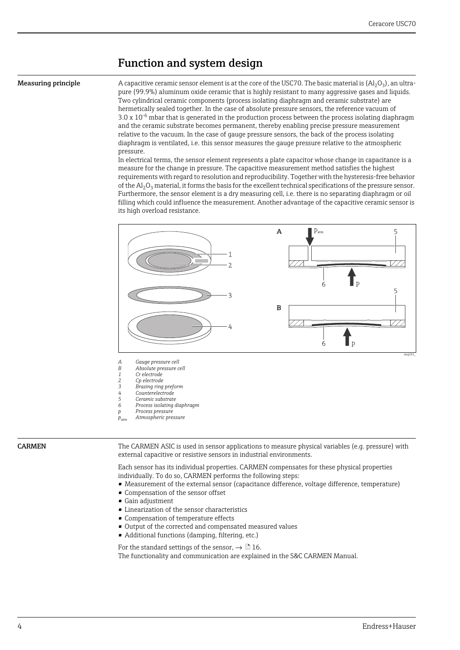### <span id="page-3-0"></span>Function and system design

<span id="page-3-1"></span>**Measuring principle** A capacitive ceramic sensor element is at the core of the USC70. The basic material is  $(A<sub>1</sub>, O<sub>3</sub>)$ , an ultrapure (99.9%) aluminum oxide ceramic that is highly resistant to many aggressive gases and liquids. Two cylindrical ceramic components (process isolating diaphragm and ceramic substrate) are hermetically sealed together. In the case of absolute pressure sensors, the reference vacuum of  $3.0 \times 10^{-6}$  mbar that is generated in the production process between the process isolating diaphragm and the ceramic substrate becomes permanent, thereby enabling precise pressure measurement relative to the vacuum. In the case of gauge pressure sensors, the back of the process isolating diaphragm is ventilated, i.e. this sensor measures the gauge pressure relative to the atmospheric pressure.

In electrical terms, the sensor element represents a plate capacitor whose change in capacitance is a measure for the change in pressure. The capacitive measurement method satisfies the highest requirements with regard to resolution and reproducibility. Together with the hysteresis-free behavior of the  $Al_2O_3$  material, it forms the basis for the excellent technical specifications of the pressure sensor. Furthermore, the sensor element is a dry measuring cell, i.e. there is no separating diaphragm or oil filling which could influence the measurement. Another advantage of the capacitive ceramic sensor is its high overload resistance.



- *A Gauge pressure cell*
- *B Absolute pressure cell 1 Cr electrode*
- 
- *2 Cp electrode 3 Brazing ring preform*
- *4 Counterelectrode*
- *5 Ceramic substrate*
- *6 Process isolating diaphragm p Process pressure*
- *patm Atmospheric pressure*

<span id="page-3-2"></span>CARMEN The CARMEN ASIC is used in sensor applications to measure physical variables (e.g. pressure) with external capacitive or resistive sensors in industrial environments.

> Each sensor has its individual properties. CARMEN compensates for these physical properties individually. To do so, CARMEN performs the following steps:

- Measurement of the external sensor (capacitance difference, voltage difference, temperature)
- Compensation of the sensor offset
- Gain adjustment
- Linearization of the sensor characteristics
- Compensation of temperature effects
- Output of the corrected and compensated measured values
- Additional functions (damping, filtering, etc.)

For the standard settings of the sensor,  $\rightarrow \Box$  [16](#page-15-2).

The functionality and communication are explained in the S&C CARMEN Manual.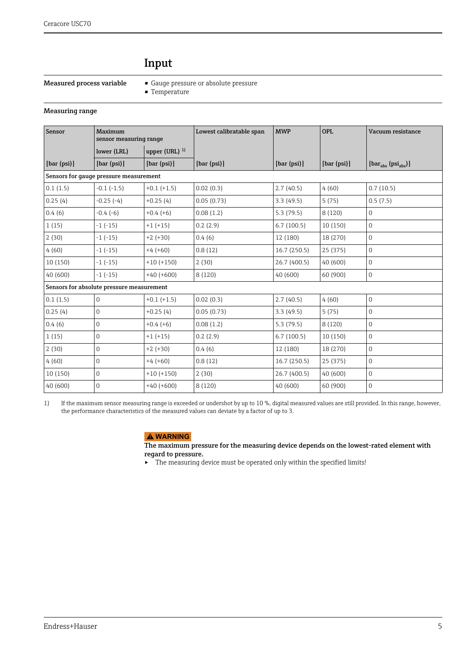### <span id="page-4-0"></span>Input

- <span id="page-4-1"></span>Measured process variable • Gauge pressure or absolute pressure
	- Temperature

#### <span id="page-4-2"></span>Measuring range

| Sensor      | Maximum<br>sensor measuring range         |                   | Lowest calibratable span | <b>MWP</b>   | <b>OPL</b>  | Vacuum resistance                              |
|-------------|-------------------------------------------|-------------------|--------------------------|--------------|-------------|------------------------------------------------|
|             | lower (LRL)                               | upper (URL) $1$ ) |                          |              |             |                                                |
| [bar (psi)] | [bar (psi)]                               | [bar (psi)]       | [bar (psi)]              | [bar (psi)]  | [bar (psi)] | $[\text{bar}_{\text{abs}} (psi_{\text{abs}})]$ |
|             | Sensors for gauge pressure measurement    |                   |                          |              |             |                                                |
| 0.1(1.5)    | $-0.1$ $(-1.5)$                           | $+0.1 (+1.5)$     | 0.02(0.3)                | 2.7(40.5)    | 4(60)       | 0.7(10.5)                                      |
| 0.25(4)     | $-0.25(-4)$                               | $+0.25(4)$        | 0.05(0.73)               | 3.3(49.5)    | 5(75)       | 0.5(7.5)                                       |
| 0.4(6)      | $-0.4(-6)$                                | $+0.4(+6)$        | 0.08(1.2)                | 5.3(79.5)    | 8 (120)     | 0                                              |
| 1(15)       | $-1(-15)$                                 | $+1 (+15)$        | 0.2(2.9)                 | 6.7(100.5)   | 10 (150)    | $\Omega$                                       |
| 2(30)       | $-1(-15)$                                 | $+2 (+30)$        | 0.4(6)                   | 12 (180)     | 18 (270)    | $\Omega$                                       |
| 4(60)       | $-1(-15)$                                 | $+4(+60)$         | 0.8(12)                  | 16.7(250.5)  | 25 (375)    | $\overline{0}$                                 |
| 10 (150)    | $-1(-15)$                                 | $+10 (+150)$      | 2(30)                    | 26.7 (400.5) | 40 (600)    | 0                                              |
| 40 (600)    | $-1(-15)$                                 | $+40 (+600)$      | 8(120)                   | 40 (600)     | 60 (900)    | $\overline{0}$                                 |
|             | Sensors for absolute pressure measurement |                   |                          |              |             |                                                |
| 0.1(1.5)    | $\overline{0}$                            | $+0.1 (+1.5)$     | 0.02(0.3)                | 2.7(40.5)    | 4(60)       | $\overline{0}$                                 |
| 0.25(4)     | $\overline{0}$                            | $+0.25(4)$        | 0.05(0.73)               | 3.3(49.5)    | 5(75)       | $\Omega$                                       |
| 0.4(6)      | $\mathbf 0$                               | $+0.4(+6)$        | 0.08(1.2)                | 5.3(79.5)    | 8 (120)     | $\overline{0}$                                 |
| 1(15)       | $\overline{0}$                            | $+1 (+15)$        | 0.2(2.9)                 | 6.7(100.5)   | 10 (150)    | 0                                              |
| 2(30)       | $\overline{0}$                            | $+2 (+30)$        | 0.4(6)                   | 12 (180)     | 18 (270)    | $\overline{0}$                                 |
| 4(60)       | $\overline{0}$                            | $+4(+60)$         | 0.8(12)                  | 16.7(250.5)  | 25 (375)    | $\overline{0}$                                 |
| 10(150)     | $\overline{0}$                            | $+10 (+150)$      | 2(30)                    | 26.7 (400.5) | 40 (600)    | 0                                              |
| 40 (600)    | $\overline{0}$                            | $+40 (+600)$      | 8 (120)                  | 40 (600)     | 60 (900)    | 0                                              |

1) If the maximum sensor measuring range is exceeded or undershot by up to 10 %, digital measured values are still provided. In this range, however, the performance characteristics of the measured values can deviate by a factor of up to 3.

### **! WARNING**

The maximum pressure for the measuring device depends on the lowest-rated element with regard to pressure.

‣ The measuring device must be operated only within the specified limits!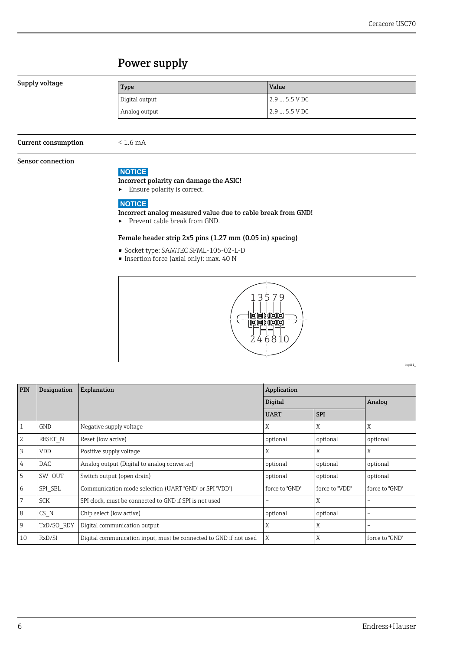### <span id="page-5-0"></span>Power supply

#### <span id="page-5-1"></span>Supply voltage

| Type           | Value          |
|----------------|----------------|
| Digital output | $12.95.5$ V DC |
| Analog output  | $2.95.5$ VDC   |

<span id="page-5-2"></span>Current consumption < 1.6 mA

#### <span id="page-5-3"></span>Sensor connection

#### **NOTICE**

#### Incorrect polarity can damage the ASIC!

‣ Ensure polarity is correct.

### **NOTICE**

#### Incorrect analog measured value due to cable break from GND!

▶ Prevent cable break from GND.

#### Female header strip 2x5 pins (1.27 mm (0.05 in) spacing)

- Socket type: SAMTEC SFML-105-02-L-D
- Insertion force (axial only): max. 40 N



| <b>PIN</b> | Designation | Explanation                                                       | Application    |                |                |  |
|------------|-------------|-------------------------------------------------------------------|----------------|----------------|----------------|--|
|            |             |                                                                   | Digital        | Analog         |                |  |
|            |             |                                                                   | <b>UART</b>    | <b>SPI</b>     |                |  |
| 1          | <b>GND</b>  | Negative supply voltage                                           | Χ              | X              | X              |  |
| 2          | RESET N     | Reset (low active)                                                | optional       | optional       | optional       |  |
| 3          | <b>VDD</b>  | Positive supply voltage                                           | Χ              | X              | X              |  |
| 4          | DAC.        | Analog output (Digital to analog converter)                       | optional       | optional       | optional       |  |
| 5          | SW OUT      | Switch output (open drain)                                        | optional       | optional       | optional       |  |
| 6          | SPI SEL     | Communication mode selection (UART "GND" or SPI "VDD")            | force to "GND" | force to "VDD" | force to "GND" |  |
| 7          | <b>SCK</b>  | SPI clock, must be connected to GND if SPI is not used            |                | X              |                |  |
| 8          | CS N        | Chip select (low active)                                          | optional       | optional       |                |  |
| 9          | TxD/SO RDY  | Digital communication output                                      | Χ              | X              |                |  |
| 10         | RxD/SI      | Digital communication input, must be connected to GND if not used | X              | X              | force to "GND" |  |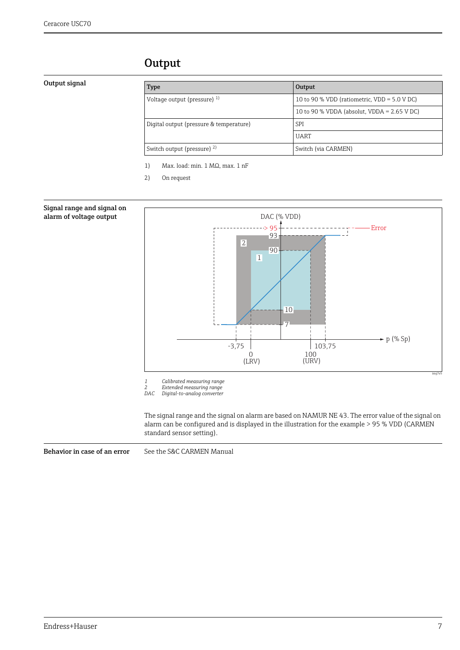### <span id="page-6-0"></span>**Output**

#### <span id="page-6-1"></span>Output signal

| Type                                    | Output                                       |  |
|-----------------------------------------|----------------------------------------------|--|
| Voltage output (pressure) $^{1}$        | 10 to 90 % VDD (ratiometric, VDD = 5.0 V DC) |  |
|                                         | 10 to 90 % VDDA (absolut, VDDA = $2.65$ VDC) |  |
| Digital output (pressure & temperature) | SPI                                          |  |
|                                         | <b>UART</b>                                  |  |
| Switch output (pressure) 2)             | Switch (via CARMEN)                          |  |

1) Max. load: min. 1 MΩ, max. 1 nF

2) On request

<span id="page-6-2"></span>

*2 Extended measuring range DAC Digital-to-analog converter*

The signal range and the signal on alarm are based on NAMUR NE 43. The error value of the signal on alarm can be configured and is displayed in the illustration for the example > 95 % VDD (CARMEN standard sensor setting).

<span id="page-6-3"></span>Behavior in case of an error See the S&C CARMEN Manual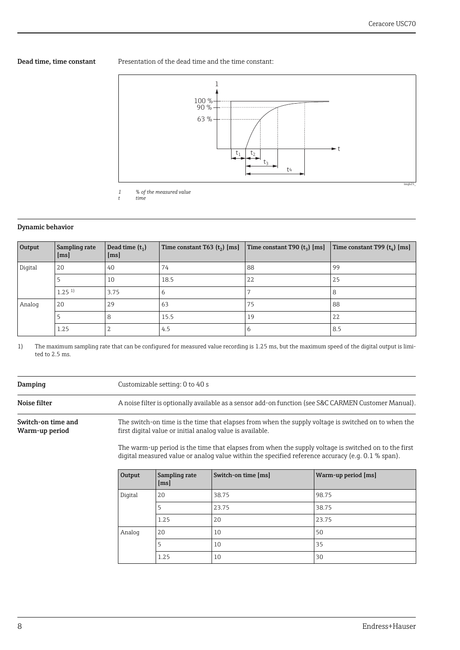<span id="page-7-0"></span>Dead time, time constant Presentation of the dead time and the time constant:



*t time*

### <span id="page-7-1"></span>Dynamic behavior

| Output  | Sampling rate<br>$\lfloor ms \rfloor$ | Dead time $(t_1)$<br>$\lfloor ms \rfloor$ | Time constant T63 $(t_2)$ [ms] | Time constant T90 $(t_3)$ [ms] | Time constant T99 $(t_4)$ [ms] |
|---------|---------------------------------------|-------------------------------------------|--------------------------------|--------------------------------|--------------------------------|
| Digital | 20                                    | 40                                        | 74                             | 88                             | 99                             |
|         |                                       | 10                                        | 18.5                           | 22                             | 25                             |
|         | $1.25$ <sup>1)</sup>                  | 3.75                                      | 6                              |                                | 8                              |
| Analog  | 20                                    | 29                                        | 63                             | 75                             | 88                             |
|         |                                       | 8                                         | 15.5                           | 19                             | 22                             |
|         | 1.25                                  | ŋ<br>∠                                    | 4.5                            | 6                              | 8.5                            |

1) The maximum sampling rate that can be configured for measured value recording is 1.25 ms, but the maximum speed of the digital output is limited to 2.5 ms.

<span id="page-7-4"></span><span id="page-7-3"></span><span id="page-7-2"></span>

| Damping                              |                                                                                                                                                                  | Customizable setting: 0 to 40 s                                                                      |                                                                                                     |                                                                                                      |  |  |
|--------------------------------------|------------------------------------------------------------------------------------------------------------------------------------------------------------------|------------------------------------------------------------------------------------------------------|-----------------------------------------------------------------------------------------------------|------------------------------------------------------------------------------------------------------|--|--|
| Noise filter                         |                                                                                                                                                                  | A noise filter is optionally available as a sensor add-on function (see S&C CARMEN Customer Manual). |                                                                                                     |                                                                                                      |  |  |
| Switch-on time and<br>Warm-up period | The switch-on time is the time that elapses from when the supply voltage is switched on to when the<br>first digital value or initial analog value is available. |                                                                                                      |                                                                                                     |                                                                                                      |  |  |
|                                      |                                                                                                                                                                  |                                                                                                      | digital measured value or analog value within the specified reference accuracy (e.g. $0.1$ % span). | The warm-up period is the time that elapses from when the supply voltage is switched on to the first |  |  |
|                                      | Output                                                                                                                                                           | Sampling rate<br>$\lfloor ms \rfloor$                                                                | Switch-on time [ms]                                                                                 | Warm-up period [ms]                                                                                  |  |  |
|                                      | Digital                                                                                                                                                          | 20                                                                                                   | 38.75                                                                                               | 98.75                                                                                                |  |  |
|                                      |                                                                                                                                                                  | 5                                                                                                    | 23.75                                                                                               | 38.75                                                                                                |  |  |
|                                      |                                                                                                                                                                  | 1.25                                                                                                 | 20                                                                                                  | 23.75                                                                                                |  |  |
|                                      | Analog                                                                                                                                                           | 20                                                                                                   | 10                                                                                                  | 50                                                                                                   |  |  |
|                                      |                                                                                                                                                                  | 5                                                                                                    | 10                                                                                                  | 35                                                                                                   |  |  |
|                                      |                                                                                                                                                                  | 1.25                                                                                                 | 10                                                                                                  | 30                                                                                                   |  |  |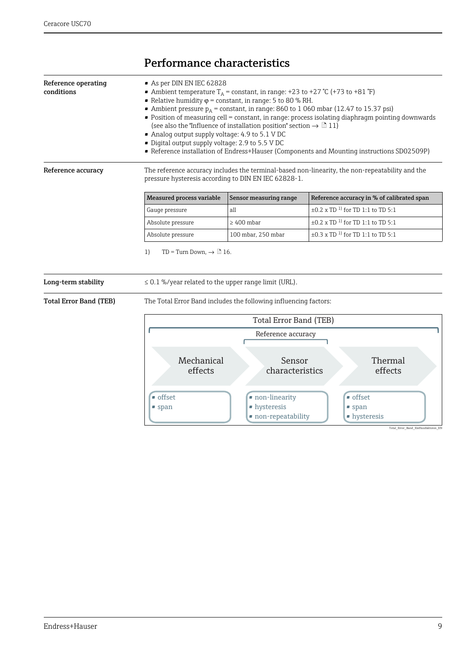## <span id="page-8-0"></span>Performance characteristics

<span id="page-8-2"></span><span id="page-8-1"></span>

| conditions                    | As per DIN EN IEC 62828<br>• Ambient temperature $T_A$ = constant, in range: +23 to +27 °C (+73 to +81 °F)<br>• Relative humidity $\varphi$ = constant, in range: 5 to 80 % RH.<br>• Ambient pressure $p_A$ = constant, in range: 860 to 1 060 mbar (12.47 to 15.37 psi)<br>• Position of measuring cell = constant, in range: process isolating diaphragm pointing downwards<br>(see also the "Influence of installation position" section $\rightarrow \Box$ 11)<br>Analog output supply voltage: 4.9 to 5.1 V DC<br>· Digital output supply voltage: 2.9 to 5.5 V DC<br>Reference installation of Endress+Hauser (Components and Mounting instructions SD02509P) |                                                                    |                                                                                                 |  |  |
|-------------------------------|---------------------------------------------------------------------------------------------------------------------------------------------------------------------------------------------------------------------------------------------------------------------------------------------------------------------------------------------------------------------------------------------------------------------------------------------------------------------------------------------------------------------------------------------------------------------------------------------------------------------------------------------------------------------|--------------------------------------------------------------------|-------------------------------------------------------------------------------------------------|--|--|
| Reference accuracy            | pressure hysteresis according to DIN EN IEC 62828-1.                                                                                                                                                                                                                                                                                                                                                                                                                                                                                                                                                                                                                |                                                                    | The reference accuracy includes the terminal-based non-linearity, the non-repeatability and the |  |  |
|                               | <b>Measured process variable</b>                                                                                                                                                                                                                                                                                                                                                                                                                                                                                                                                                                                                                                    | Sensor measuring range                                             | Reference accuracy in % of calibrated span                                                      |  |  |
|                               | Gauge pressure                                                                                                                                                                                                                                                                                                                                                                                                                                                                                                                                                                                                                                                      | all                                                                | $\pm 0.2$ x TD <sup>1)</sup> for TD1:1 to TD5:1                                                 |  |  |
|                               | Absolute pressure                                                                                                                                                                                                                                                                                                                                                                                                                                                                                                                                                                                                                                                   | $\pm 0.2$ x TD <sup>1)</sup> for TD1:1 to TD5:1<br>$\geq 400$ mbar |                                                                                                 |  |  |
|                               | $\pm 0.3$ x TD <sup>1)</sup> for TD1:1 to TD5:1<br>100 mbar, 250 mbar<br>Absolute pressure                                                                                                                                                                                                                                                                                                                                                                                                                                                                                                                                                                          |                                                                    |                                                                                                 |  |  |
| Long-term stability           | TD = Turn Down, $\rightarrow \Box$ 16.<br>1)<br>$\leq$ 0.1 %/year related to the upper range limit (URL).                                                                                                                                                                                                                                                                                                                                                                                                                                                                                                                                                           |                                                                    |                                                                                                 |  |  |
| <b>Total Error Band (TEB)</b> | The Total Error Band includes the following influencing factors:                                                                                                                                                                                                                                                                                                                                                                                                                                                                                                                                                                                                    |                                                                    |                                                                                                 |  |  |
|                               | <b>Total Error Band (TEB)</b>                                                                                                                                                                                                                                                                                                                                                                                                                                                                                                                                                                                                                                       |                                                                    |                                                                                                 |  |  |
|                               | Reference accuracy<br>Mechanical<br>Sensor<br>Thermal<br>effects<br>effects<br>characteristics<br>$\bullet$ offset<br>$\blacksquare$ offset<br>non-linearity                                                                                                                                                                                                                                                                                                                                                                                                                                                                                                        |                                                                    |                                                                                                 |  |  |

• hysteresis • non-repeatability

<span id="page-8-4"></span><span id="page-8-3"></span>• span

Total\_Error\_Band\_Ein

• span • hysteresis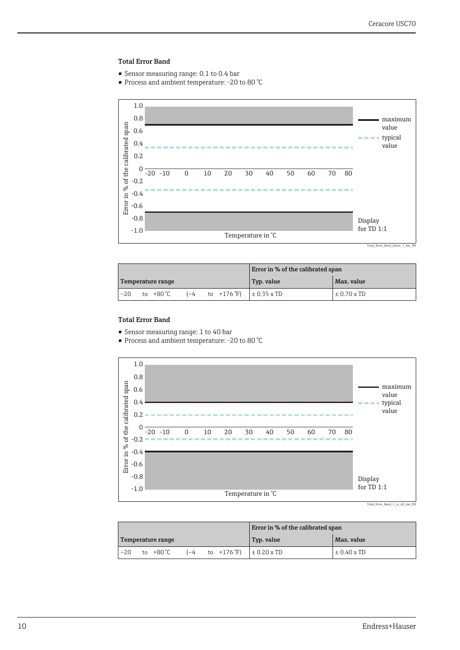#### Total Error Band

- Sensor measuring range: 0.1 to 0.4 bar
- Process and ambient temperature: -20 to 80 °C



Total\_Error\_Band\_below\_1\_bar\_EN

|       |                   |  |                                     | Error in % of the calibrated span |                 |
|-------|-------------------|--|-------------------------------------|-----------------------------------|-----------------|
|       | Temperature range |  |                                     | Typ. value                        | Max. value      |
| $-20$ | to +80 °C         |  | $(-4$ to $+176$ °F) $\pm 0.35$ x TD |                                   | $\pm 0.70$ x TD |

### Total Error Band

- Sensor measuring range: 1 to 40 bar
- Process and ambient temperature: -20 to 80 °C



|       |                   |  |                                                    | Error in % of the calibrated span |                 |
|-------|-------------------|--|----------------------------------------------------|-----------------------------------|-----------------|
|       | Temperature range |  |                                                    | Typ. value                        | Max. value      |
| $-20$ | to +80 ℃          |  | $(-4$ to $+176 \text{ F})$ $\pm 0.20 \text{ x TD}$ |                                   | $\pm$ 0.40 x TD |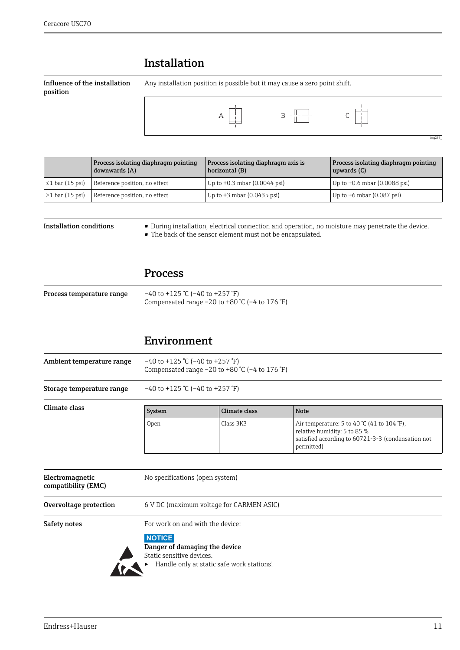### <span id="page-10-0"></span>Installation

<span id="page-10-1"></span>Influence of the installation position

Any installation position is possible but it may cause a zero point shift.



| Process isolating diaphragm pointing<br>downwards (A) |                               | Process isolating diaphragm axis is<br>horizontal (B) | <b>Process isolating diaphragm pointing</b><br>upwards (C) |
|-------------------------------------------------------|-------------------------------|-------------------------------------------------------|------------------------------------------------------------|
| $\leq 1$ bar (15 psi)                                 | Reference position, no effect | Up to $+0.3$ mbar $(0.0044$ psi)                      | Up to $+0.6$ mbar (0.0088 psi)                             |
| $>1$ bar (15 psi)                                     | Reference position, no effect | Up to $+3$ mbar (0.0435 psi)                          | Up to $+6$ mbar (0.087 psi)                                |

<span id="page-10-2"></span>

| <b>Installation conditions</b> | • During installation, electrical connection and operation, no moisture may penetrate the device. |
|--------------------------------|---------------------------------------------------------------------------------------------------|
|                                | $\mathbf{1}$ , and a set of $\mathbf{1}$ , and a set of $\mathbf{1}$ , and a set of $\mathbf{1}$  |

• The back of the sensor element must not be encapsulated.

### <span id="page-10-3"></span>Process

<span id="page-10-4"></span>

| Process temperature range | $-40$ to +125 °C (-40 to +257 °F)                     |  |
|---------------------------|-------------------------------------------------------|--|
|                           | Compensated range $-20$ to $+80$ °C ( $-4$ to 176 °F) |  |

### <span id="page-10-5"></span>Environment

<span id="page-10-8"></span><span id="page-10-7"></span><span id="page-10-6"></span>

| Ambient temperature range | $-40$ to +125 °C (-40 to +257 °F)<br>Compensated range $-20$ to $+80$ °C ( $-4$ to 176 °F) |               |                                                                                                                                                                   |
|---------------------------|--------------------------------------------------------------------------------------------|---------------|-------------------------------------------------------------------------------------------------------------------------------------------------------------------|
| Storage temperature range | $-40$ to +125 °C (-40 to +257 °F)                                                          |               |                                                                                                                                                                   |
| Climate class             | System                                                                                     | Climate class | <b>Note</b>                                                                                                                                                       |
|                           | Open                                                                                       | Class 3K3     | Air temperature: 5 to 40 $\degree$ C (41 to 104 $\degree$ F),<br>relative humidity: 5 to 85 %<br>satisfied according to 60721-3-3 (condensation not<br>permitted) |

<span id="page-10-11"></span><span id="page-10-10"></span><span id="page-10-9"></span>

| Electromagnetic<br>compatibility (EMC) | No specifications (open system)                                                                                                                                                       |
|----------------------------------------|---------------------------------------------------------------------------------------------------------------------------------------------------------------------------------------|
| Overvoltage protection                 | 6 V DC (maximum voltage for CARMEN ASIC)                                                                                                                                              |
| Safety notes                           | For work on and with the device:<br><b>NOTICE</b><br>Danger of damaging the device<br>Static sensitive devices.<br>Handle only at static safe work stations!<br>$\blacktriangleright$ |

img296\_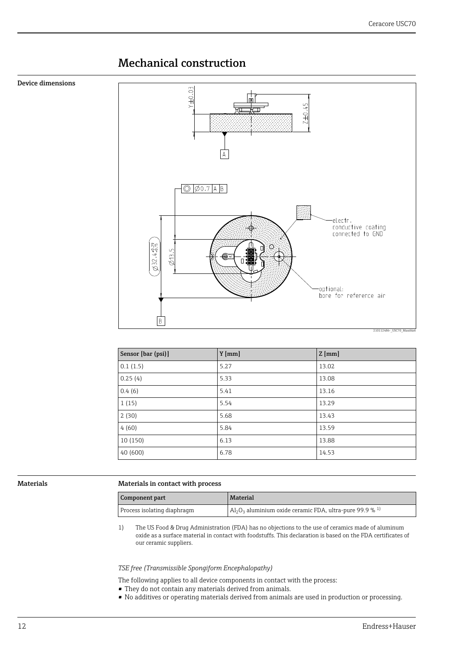### <span id="page-11-0"></span>Mechanical construction

<span id="page-11-1"></span>Device dimensions



| Sensor [bar (psi)] | $Y$ [mm] | $Z$ [mm] |
|--------------------|----------|----------|
| 0.1(1.5)           | 5.27     | 13.02    |
| 0.25(4)            | 5.33     | 13.08    |
| 0.4(6)             | 5.41     | 13.16    |
| 1(15)              | 5.54     | 13.29    |
| 2(30)              | 5.68     | 13.43    |
| 4(60)              | 5.84     | 13.59    |
| 10 (150)           | 6.13     | 13.88    |
| 40(600)            | 6.78     | 14.53    |

#### <span id="page-11-2"></span>Materials Materials in contact with process

| Component part              | <b>Material</b>                                                                                 |
|-----------------------------|-------------------------------------------------------------------------------------------------|
| Process isolating diaphragm | $ $ Al <sub>2</sub> O <sub>3</sub> aluminium oxide ceramic FDA, ultra-pure 99.9 % <sup>1)</sup> |

1) The US Food & Drug Administration (FDA) has no objections to the use of ceramics made of aluminum oxide as a surface material in contact with foodstuffs. This declaration is based on the FDA certificates of our ceramic suppliers.

*TSE free (Transmissible Spongiform Encephalopathy)*

- The following applies to all device components in contact with the process:
- They do not contain any materials derived from animals.
- No additives or operating materials derived from animals are used in production or processing.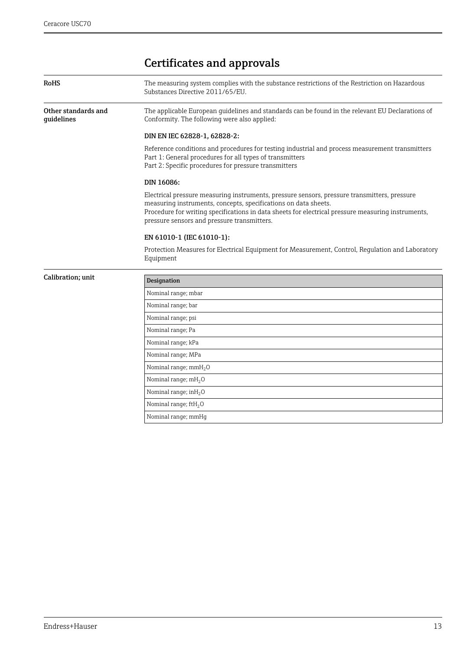## <span id="page-12-0"></span>Certificates and approvals

<span id="page-12-3"></span>Nominal range; kPa Nominal range; MPa Nominal range;  $mmH<sub>2</sub>O$ Nominal range;  $mH<sub>2</sub>O$ Nominal range;  $inH<sub>2</sub>O$ Nominal range;  $ftH<sub>2</sub>O$ Nominal range; mmHg

<span id="page-12-2"></span><span id="page-12-1"></span>

| <b>RoHS</b>                       | The measuring system complies with the substance restrictions of the Restriction on Hazardous<br>Substances Directive 2011/65/EU.                                                                                                                                                                                    |  |  |
|-----------------------------------|----------------------------------------------------------------------------------------------------------------------------------------------------------------------------------------------------------------------------------------------------------------------------------------------------------------------|--|--|
| Other standards and<br>quidelines | The applicable European quidelines and standards can be found in the relevant EU Declarations of<br>Conformity. The following were also applied:                                                                                                                                                                     |  |  |
|                                   | DIN EN IEC 62828-1, 62828-2:                                                                                                                                                                                                                                                                                         |  |  |
|                                   | Reference conditions and procedures for testing industrial and process measurement transmitters<br>Part 1: General procedures for all types of transmitters<br>Part 2: Specific procedures for pressure transmitters                                                                                                 |  |  |
|                                   | DIN 16086:                                                                                                                                                                                                                                                                                                           |  |  |
|                                   | Electrical pressure measuring instruments, pressure sensors, pressure transmitters, pressure<br>measuring instruments, concepts, specifications on data sheets.<br>Procedure for writing specifications in data sheets for electrical pressure measuring instruments,<br>pressure sensors and pressure transmitters. |  |  |
|                                   | EN 61010-1 (IEC 61010-1):                                                                                                                                                                                                                                                                                            |  |  |
|                                   | Protection Measures for Electrical Equipment for Measurement, Control, Regulation and Laboratory<br>Equipment                                                                                                                                                                                                        |  |  |
| Calibration; unit                 | <b>Designation</b>                                                                                                                                                                                                                                                                                                   |  |  |
|                                   | Nominal range; mbar                                                                                                                                                                                                                                                                                                  |  |  |
|                                   | Nominal range; bar                                                                                                                                                                                                                                                                                                   |  |  |
|                                   | Nominal range; psi                                                                                                                                                                                                                                                                                                   |  |  |
|                                   | Nominal range; Pa                                                                                                                                                                                                                                                                                                    |  |  |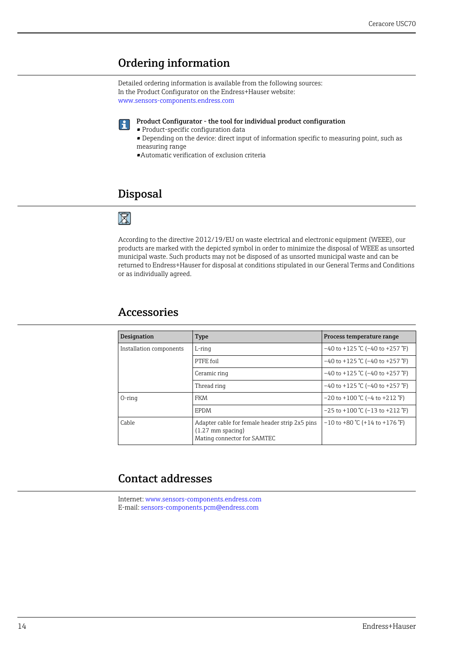### <span id="page-13-0"></span>Ordering information

Detailed ordering information is available from the following sources: In the Product Configurator on the Endress+Hauser website: www.sensors-components.endress.com

Product Configurator - the tool for individual product configuration 14 I

- Product-specific configuration data
	- Depending on the device: direct input of information specific to measuring point, such as measuring range

•Automatic verification of exclusion criteria

### <span id="page-13-1"></span>Disposal

### ⊠

According to the directive 2012/19/EU on waste electrical and electronic equipment (WEEE), our products are marked with the depicted symbol in order to minimize the disposal of WEEE as unsorted municipal waste. Such products may not be disposed of as unsorted municipal waste and can be returned to Endress+Hauser for disposal at conditions stipulated in our General Terms and Conditions or as individually agreed.

### <span id="page-13-2"></span>Accessories

| <b>Designation</b>      | <b>Type</b>                                                                                                  | Process temperature range                |
|-------------------------|--------------------------------------------------------------------------------------------------------------|------------------------------------------|
| Installation components | $L$ -ring                                                                                                    | $-40$ to +125 °C (-40 to +257 °F)        |
|                         | PTFF foil                                                                                                    | $-40$ to +125 °C (-40 to +257 °F)        |
|                         | Ceramic ring                                                                                                 | $-40$ to +125 °C (-40 to +257 °F)        |
|                         | Thread ring                                                                                                  | $-40$ to +125 °C (-40 to +257 °F)        |
| $O$ -ring               | FKM                                                                                                          | $-20$ to $+100$ °C ( $-4$ to $+212$ °F)  |
|                         | EPDM                                                                                                         | $-25$ to $+100$ °C ( $-13$ to $+212$ °F) |
| Cable                   | Adapter cable for female header strip 2x5 pins<br>$(1.27 \text{ mm}$ spacing)<br>Mating connector for SAMTEC | $-10$ to +80 °C (+14 to +176 °F)         |

### <span id="page-13-3"></span>Contact addresses

Internet: www.sensors-components.endress.com E-mail: sensors-components.pcm@endress.com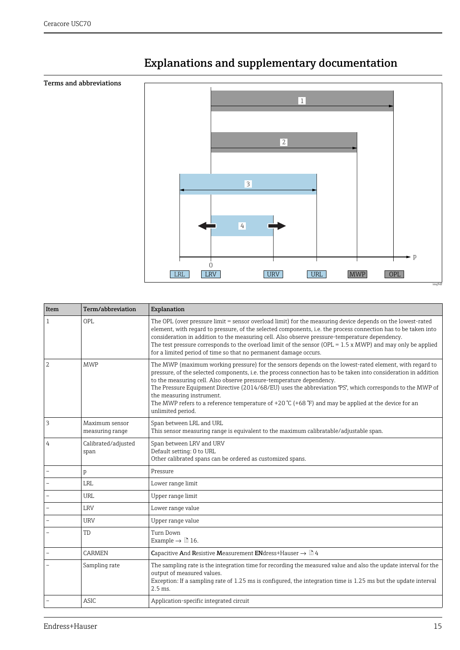<span id="page-14-1"></span>

## <span id="page-14-0"></span>Explanations and supplementary documentation

| Item                     | Term/abbreviation                 | Explanation                                                                                                                                                                                                                                                                                                                                                                                                                                                                                                                                                               |
|--------------------------|-----------------------------------|---------------------------------------------------------------------------------------------------------------------------------------------------------------------------------------------------------------------------------------------------------------------------------------------------------------------------------------------------------------------------------------------------------------------------------------------------------------------------------------------------------------------------------------------------------------------------|
| $\mathbf{1}$             | OPI.                              | The OPL (over pressure limit = sensor overload limit) for the measuring device depends on the lowest-rated<br>element, with regard to pressure, of the selected components, i.e. the process connection has to be taken into<br>consideration in addition to the measuring cell. Also observe pressure-temperature dependency.<br>The test pressure corresponds to the overload limit of the sensor (OPL = $1.5 \times MWP$ ) and may only be applied<br>for a limited period of time so that no permanent damage occurs.                                                 |
| $\overline{a}$           | <b>MWP</b>                        | The MWP (maximum working pressure) for the sensors depends on the lowest-rated element, with regard to<br>pressure, of the selected components, i.e. the process connection has to be taken into consideration in addition<br>to the measuring cell. Also observe pressure-temperature dependency.<br>The Pressure Equipment Directive (2014/68/EU) uses the abbreviation "PS", which corresponds to the MWP of<br>the measuring instrument.<br>The MWP refers to a reference temperature of +20 °C (+68 °F) and may be applied at the device for an<br>unlimited period. |
| $\overline{3}$           | Maximum sensor<br>measuring range | Span between LRL and URL<br>This sensor measuring range is equivalent to the maximum calibratable/adjustable span.                                                                                                                                                                                                                                                                                                                                                                                                                                                        |
| 4                        | Calibrated/adjusted<br>span       | Span between LRV and URV<br>Default setting: 0 to URL<br>Other calibrated spans can be ordered as customized spans.                                                                                                                                                                                                                                                                                                                                                                                                                                                       |
| $\overline{\phantom{a}}$ | p                                 | Pressure                                                                                                                                                                                                                                                                                                                                                                                                                                                                                                                                                                  |
| $\overline{\phantom{a}}$ | <b>LRL</b>                        | Lower range limit                                                                                                                                                                                                                                                                                                                                                                                                                                                                                                                                                         |
|                          | <b>URL</b>                        | Upper range limit                                                                                                                                                                                                                                                                                                                                                                                                                                                                                                                                                         |
|                          | <b>LRV</b>                        | Lower range value                                                                                                                                                                                                                                                                                                                                                                                                                                                                                                                                                         |
|                          | <b>URV</b>                        | Upper range value                                                                                                                                                                                                                                                                                                                                                                                                                                                                                                                                                         |
|                          | <b>TD</b>                         | Turn Down<br>Example $\rightarrow \square$ 16.                                                                                                                                                                                                                                                                                                                                                                                                                                                                                                                            |
|                          | <b>CARMEN</b>                     | Capacitive And Resistive Measurement ENdress+Hauser $\rightarrow \Box$ 4                                                                                                                                                                                                                                                                                                                                                                                                                                                                                                  |
|                          | Sampling rate                     | The sampling rate is the integration time for recording the measured value and also the update interval for the<br>output of measured values.<br>Exception: If a sampling rate of 1.25 ms is configured, the integration time is 1.25 ms but the update interval<br>$2.5$ ms.                                                                                                                                                                                                                                                                                             |
|                          | ASIC.                             | Application-specific integrated circuit                                                                                                                                                                                                                                                                                                                                                                                                                                                                                                                                   |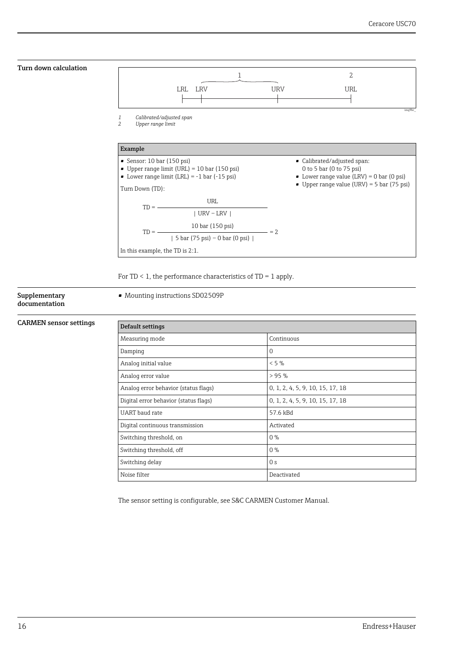<span id="page-15-0"></span>

For TD  $\leq$  1, the performance characteristics of TD = 1 apply.

#### <span id="page-15-1"></span>Supplementary documentation

#### • Mounting instructions SD02509P

| Default settings                      |                                  |
|---------------------------------------|----------------------------------|
| Measuring mode                        | Continuous                       |
| Damping                               | 0                                |
| Analog initial value                  | $< 5\%$                          |
| Analog error value                    | >95%                             |
| Analog error behavior (status flags)  | 0, 1, 2, 4, 5, 9, 10, 15, 17, 18 |
| Digital error behavior (status flags) | 0, 1, 2, 4, 5, 9, 10, 15, 17, 18 |
| UART baud rate                        | 57.6 kBd                         |
| Digital continuous transmission       | Activated                        |
| Switching threshold, on               | $0\%$                            |
| Switching threshold, off              | $0\%$                            |
| Switching delay                       | 0 <sub>s</sub>                   |
| Noise filter                          | Deactivated                      |

The sensor setting is configurable, see S&C CARMEN Customer Manual.

<span id="page-15-2"></span>CARMEN sensor settings